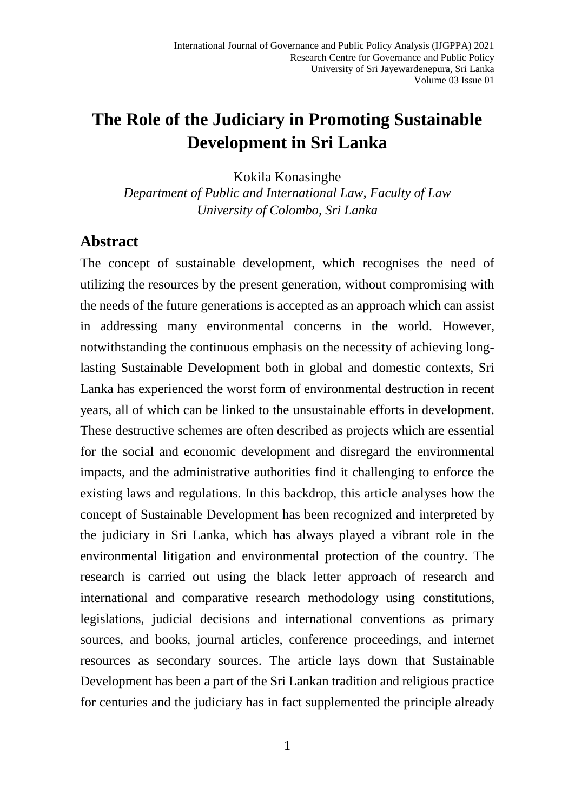# **The Role of the Judiciary in Promoting Sustainable Development in Sri Lanka**

Kokila Konasinghe

*Department of Public and International Law, Faculty of Law University of Colombo, Sri Lanka*

#### **Abstract**

The concept of sustainable development, which recognises the need of utilizing the resources by the present generation, without compromising with the needs of the future generations is accepted as an approach which can assist in addressing many environmental concerns in the world. However, notwithstanding the continuous emphasis on the necessity of achieving longlasting Sustainable Development both in global and domestic contexts, Sri Lanka has experienced the worst form of environmental destruction in recent years, all of which can be linked to the unsustainable efforts in development. These destructive schemes are often described as projects which are essential for the social and economic development and disregard the environmental impacts, and the administrative authorities find it challenging to enforce the existing laws and regulations. In this backdrop, this article analyses how the concept of Sustainable Development has been recognized and interpreted by the judiciary in Sri Lanka, which has always played a vibrant role in the environmental litigation and environmental protection of the country. The research is carried out using the black letter approach of research and international and comparative research methodology using constitutions, legislations, judicial decisions and international conventions as primary sources, and books, journal articles, conference proceedings, and internet resources as secondary sources. The article lays down that Sustainable Development has been a part of the Sri Lankan tradition and religious practice for centuries and the judiciary has in fact supplemented the principle already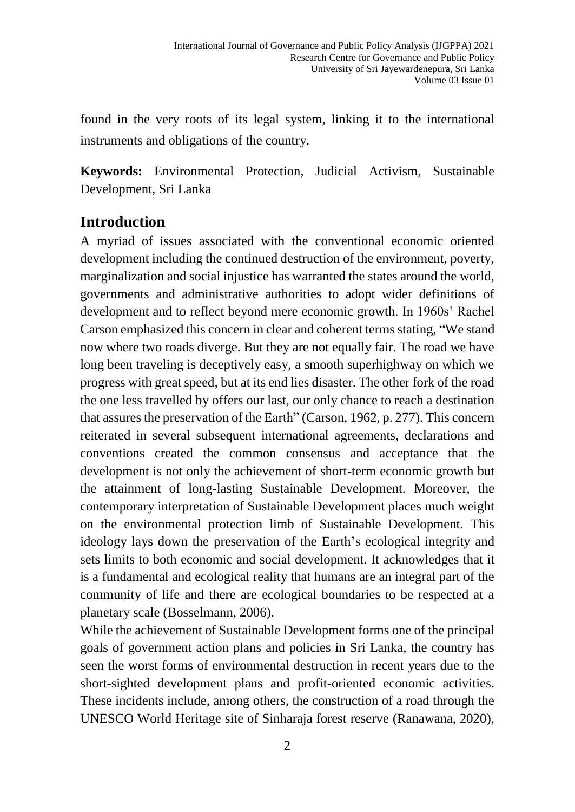found in the very roots of its legal system, linking it to the international instruments and obligations of the country.

**Keywords:** Environmental Protection, Judicial Activism, Sustainable Development, Sri Lanka

### **Introduction**

A myriad of issues associated with the conventional economic oriented development including the continued destruction of the environment, poverty, marginalization and social injustice has warranted the states around the world, governments and administrative authorities to adopt wider definitions of development and to reflect beyond mere economic growth. In 1960s' Rachel Carson emphasized this concern in clear and coherent terms stating, "We stand now where two roads diverge. But they are not equally fair. The road we have long been traveling is deceptively easy, a smooth superhighway on which we progress with great speed, but at its end lies disaster. The other fork of the road the one less travelled by offers our last, our only chance to reach a destination that assures the preservation of the Earth" (Carson, 1962, p. 277). This concern reiterated in several subsequent international agreements, declarations and conventions created the common consensus and acceptance that the development is not only the achievement of short-term economic growth but the attainment of long-lasting Sustainable Development. Moreover, the contemporary interpretation of Sustainable Development places much weight on the environmental protection limb of Sustainable Development. This ideology lays down the preservation of the Earth's ecological integrity and sets limits to both economic and social development. It acknowledges that it is a fundamental and ecological reality that humans are an integral part of the community of life and there are ecological boundaries to be respected at a planetary scale (Bosselmann, 2006).

While the achievement of Sustainable Development forms one of the principal goals of government action plans and policies in Sri Lanka, the country has seen the worst forms of environmental destruction in recent years due to the short-sighted development plans and profit-oriented economic activities. These incidents include, among others, the construction of a road through the UNESCO World Heritage site of Sinharaja forest reserve (Ranawana, 2020),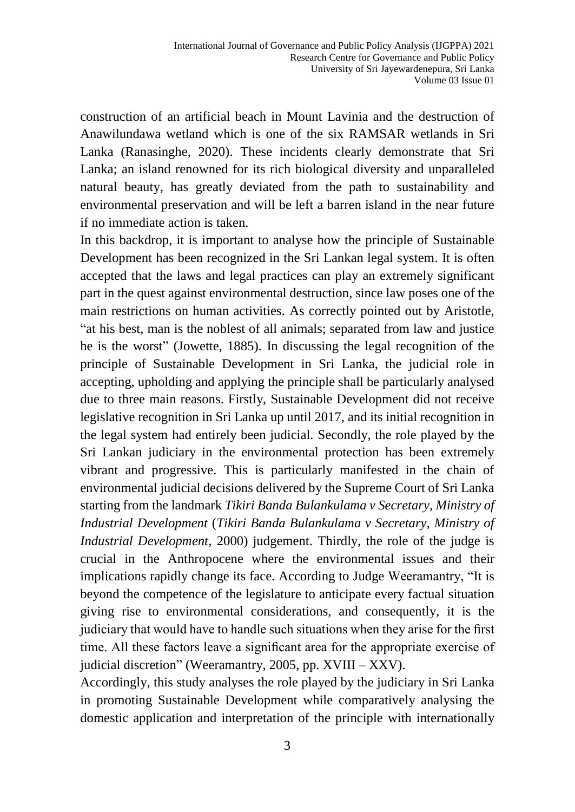construction of an artificial beach in Mount Lavinia and the destruction of Anawilundawa wetland which is one of the six RAMSAR wetlands in Sri Lanka (Ranasinghe, 2020). These incidents clearly demonstrate that Sri Lanka; an island renowned for its rich biological diversity and unparalleled natural beauty, has greatly deviated from the path to sustainability and environmental preservation and will be left a barren island in the near future if no immediate action is taken.

In this backdrop, it is important to analyse how the principle of Sustainable Development has been recognized in the Sri Lankan legal system. It is often accepted that the laws and legal practices can play an extremely significant part in the quest against environmental destruction, since law poses one of the main restrictions on human activities. As correctly pointed out by Aristotle, "at his best, man is the noblest of all animals; separated from law and justice he is the worst" (Jowette, 1885). In discussing the legal recognition of the principle of Sustainable Development in Sri Lanka, the judicial role in accepting, upholding and applying the principle shall be particularly analysed due to three main reasons. Firstly, Sustainable Development did not receive legislative recognition in Sri Lanka up until 2017, and its initial recognition in the legal system had entirely been judicial. Secondly, the role played by the Sri Lankan judiciary in the environmental protection has been extremely vibrant and progressive. This is particularly manifested in the chain of environmental judicial decisions delivered by the Supreme Court of Sri Lanka starting from the landmark *Tikiri Banda Bulankulama v Secretary, Ministry of Industrial Development* (*Tikiri Banda Bulankulama v Secretary, Ministry of Industrial Development,* 2000) judgement. Thirdly, the role of the judge is crucial in the Anthropocene where the environmental issues and their implications rapidly change its face. According to Judge Weeramantry, "It is beyond the competence of the legislature to anticipate every factual situation giving rise to environmental considerations, and consequently, it is the judiciary that would have to handle such situations when they arise for the first time. All these factors leave a significant area for the appropriate exercise of judicial discretion" (Weeramantry, 2005, pp. XVIII – XXV).

Accordingly, this study analyses the role played by the judiciary in Sri Lanka in promoting Sustainable Development while comparatively analysing the domestic application and interpretation of the principle with internationally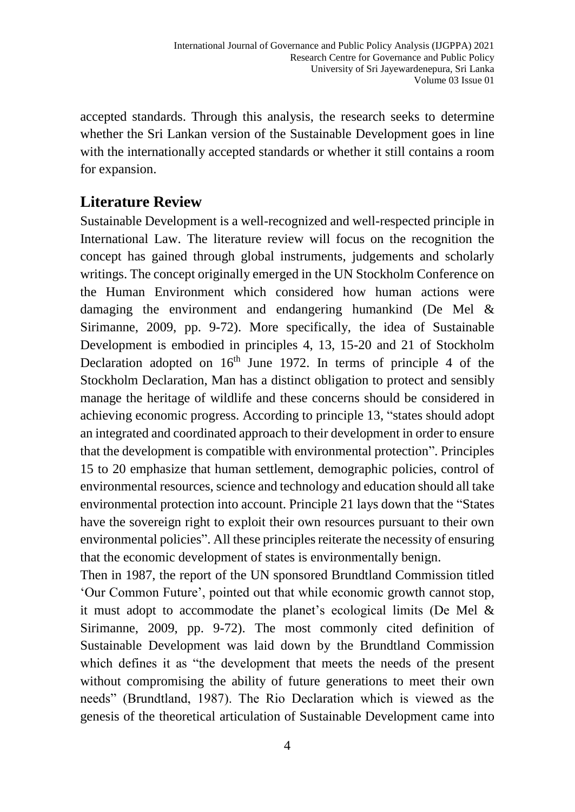accepted standards. Through this analysis, the research seeks to determine whether the Sri Lankan version of the Sustainable Development goes in line with the internationally accepted standards or whether it still contains a room for expansion.

# **Literature Review**

Sustainable Development is a well-recognized and well-respected principle in International Law. The literature review will focus on the recognition the concept has gained through global instruments, judgements and scholarly writings. The concept originally emerged in the UN Stockholm Conference on the Human Environment which considered how human actions were damaging the environment and endangering humankind (De Mel & Sirimanne, 2009, pp. 9-72). More specifically, the idea of Sustainable Development is embodied in principles 4, 13, 15-20 and 21 of Stockholm Declaration adopted on  $16<sup>th</sup>$  June 1972. In terms of principle 4 of the Stockholm Declaration, Man has a distinct obligation to protect and sensibly manage the heritage of wildlife and these concerns should be considered in achieving economic progress. According to principle 13, "states should adopt an integrated and coordinated approach to their development in order to ensure that the development is compatible with environmental protection". Principles 15 to 20 emphasize that human settlement, demographic policies, control of environmental resources, science and technology and education should all take environmental protection into account. Principle 21 lays down that the "States have the sovereign right to exploit their own resources pursuant to their own environmental policies". All these principles reiterate the necessity of ensuring that the economic development of states is environmentally benign.

Then in 1987, the report of the UN sponsored Brundtland Commission titled 'Our Common Future', pointed out that while economic growth cannot stop, it must adopt to accommodate the planet's ecological limits (De Mel & Sirimanne, 2009, pp. 9-72). The most commonly cited definition of Sustainable Development was laid down by the Brundtland Commission which defines it as "the development that meets the needs of the present without compromising the ability of future generations to meet their own needs" (Brundtland, 1987). The Rio Declaration which is viewed as the genesis of the theoretical articulation of Sustainable Development came into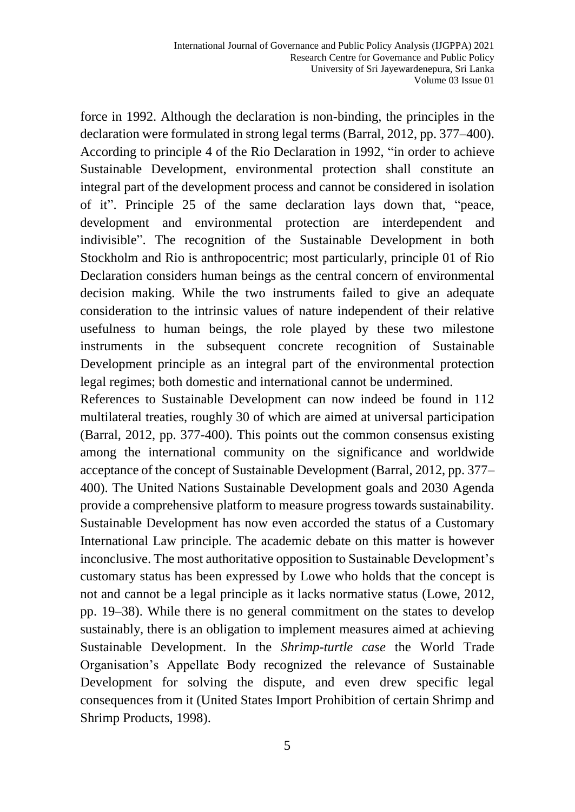force in 1992. Although the declaration is non-binding, the principles in the declaration were formulated in strong legal terms (Barral, 2012, pp. 377–400). According to principle 4 of the Rio Declaration in 1992, "in order to achieve Sustainable Development, environmental protection shall constitute an integral part of the development process and cannot be considered in isolation of it". Principle 25 of the same declaration lays down that, "peace, development and environmental protection are interdependent and indivisible". The recognition of the Sustainable Development in both Stockholm and Rio is anthropocentric; most particularly, principle 01 of Rio Declaration considers human beings as the central concern of environmental decision making. While the two instruments failed to give an adequate consideration to the intrinsic values of nature independent of their relative usefulness to human beings, the role played by these two milestone instruments in the subsequent concrete recognition of Sustainable Development principle as an integral part of the environmental protection legal regimes; both domestic and international cannot be undermined.

References to Sustainable Development can now indeed be found in 112 multilateral treaties, roughly 30 of which are aimed at universal participation (Barral, 2012, pp. 377-400). This points out the common consensus existing among the international community on the significance and worldwide acceptance of the concept of Sustainable Development (Barral, 2012, pp. 377– 400). The United Nations Sustainable Development goals and 2030 Agenda provide a comprehensive platform to measure progress towards sustainability. Sustainable Development has now even accorded the status of a Customary International Law principle. The academic debate on this matter is however inconclusive. The most authoritative opposition to Sustainable Development's customary status has been expressed by Lowe who holds that the concept is not and cannot be a legal principle as it lacks normative status (Lowe, 2012, pp. 19–38). While there is no general commitment on the states to develop sustainably, there is an obligation to implement measures aimed at achieving Sustainable Development. In the *Shrimp-turtle case* the World Trade Organisation's Appellate Body recognized the relevance of Sustainable Development for solving the dispute, and even drew specific legal consequences from it (United States Import Prohibition of certain Shrimp and Shrimp Products, 1998).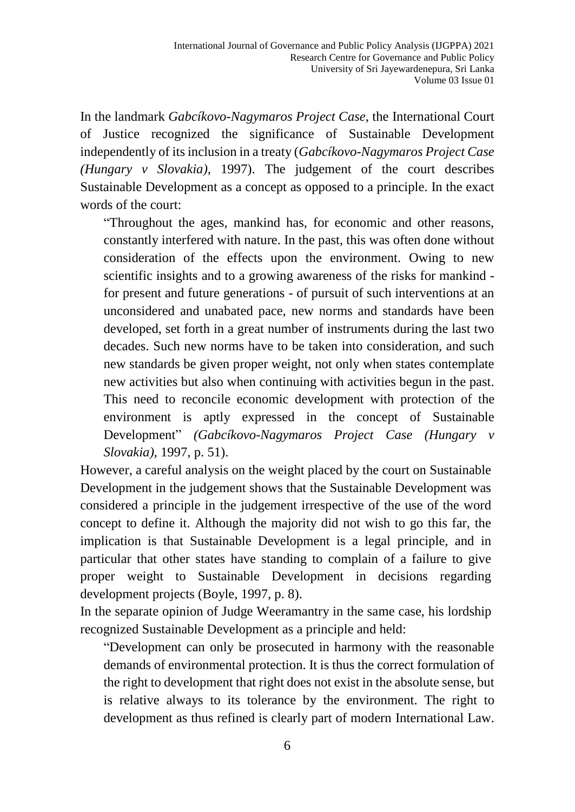In the landmark *Gabcíkovo-Nagymaros Project Case*, the International Court of Justice recognized the significance of Sustainable Development independently of its inclusion in a treaty (*Gabcíkovo-Nagymaros Project Case (Hungary v Slovakia),* 1997). The judgement of the court describes Sustainable Development as a concept as opposed to a principle. In the exact words of the court:

"Throughout the ages, mankind has, for economic and other reasons, constantly interfered with nature. In the past, this was often done without consideration of the effects upon the environment. Owing to new scientific insights and to a growing awareness of the risks for mankind for present and future generations - of pursuit of such interventions at an unconsidered and unabated pace, new norms and standards have been developed, set forth in a great number of instruments during the last two decades. Such new norms have to be taken into consideration, and such new standards be given proper weight, not only when states contemplate new activities but also when continuing with activities begun in the past. This need to reconcile economic development with protection of the environment is aptly expressed in the concept of Sustainable Development" *(Gabcíkovo-Nagymaros Project Case (Hungary v Slovakia),* 1997, p. 51).

However, a careful analysis on the weight placed by the court on Sustainable Development in the judgement shows that the Sustainable Development was considered a principle in the judgement irrespective of the use of the word concept to define it. Although the majority did not wish to go this far, the implication is that Sustainable Development is a legal principle, and in particular that other states have standing to complain of a failure to give proper weight to Sustainable Development in decisions regarding development projects (Boyle, 1997, p. 8).

In the separate opinion of Judge Weeramantry in the same case, his lordship recognized Sustainable Development as a principle and held:

"Development can only be prosecuted in harmony with the reasonable demands of environmental protection. It is thus the correct formulation of the right to development that right does not exist in the absolute sense, but is relative always to its tolerance by the environment. The right to development as thus refined is clearly part of modern International Law.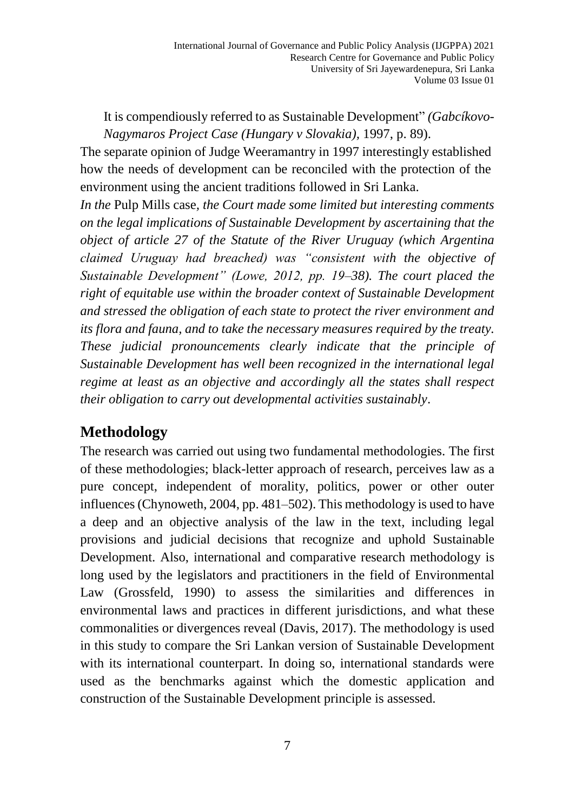It is compendiously referred to as Sustainable Development" *(Gabcíkovo-Nagymaros Project Case (Hungary v Slovakia),* 1997, p. 89).

The separate opinion of Judge Weeramantry in 1997 interestingly established how the needs of development can be reconciled with the protection of the environment using the ancient traditions followed in Sri Lanka.

*In the* Pulp Mills case*, the Court made some limited but interesting comments on the legal implications of Sustainable Development by ascertaining that the object of article 27 of the Statute of the River Uruguay (which Argentina claimed Uruguay had breached) was "consistent with the objective of Sustainable Development" (Lowe, 2012, pp. 19–38). The court placed the right of equitable use within the broader context of Sustainable Development and stressed the obligation of each state to protect the river environment and its flora and fauna, and to take the necessary measures required by the treaty. These judicial pronouncements clearly indicate that the principle of Sustainable Development has well been recognized in the international legal regime at least as an objective and accordingly all the states shall respect their obligation to carry out developmental activities sustainably*.

# **Methodology**

The research was carried out using two fundamental methodologies. The first of these methodologies; black-letter approach of research, perceives law as a pure concept, independent of morality, politics, power or other outer influences(Chynoweth, 2004, pp. 481–502). This methodology is used to have a deep and an objective analysis of the law in the text, including legal provisions and judicial decisions that recognize and uphold Sustainable Development. Also, international and comparative research methodology is long used by the legislators and practitioners in the field of Environmental Law (Grossfeld, 1990) to assess the similarities and differences in environmental laws and practices in different jurisdictions, and what these commonalities or divergences reveal (Davis, 2017). The methodology is used in this study to compare the Sri Lankan version of Sustainable Development with its international counterpart. In doing so, international standards were used as the benchmarks against which the domestic application and construction of the Sustainable Development principle is assessed.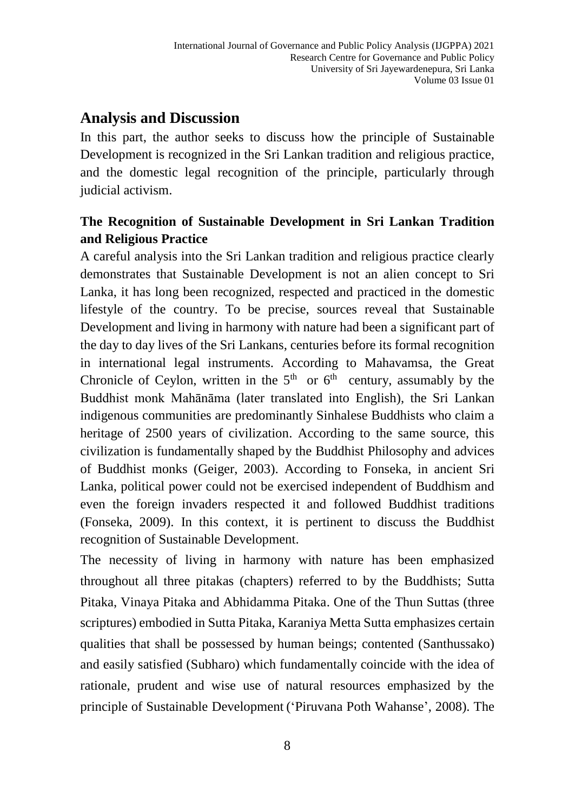## **Analysis and Discussion**

In this part, the author seeks to discuss how the principle of Sustainable Development is recognized in the Sri Lankan tradition and religious practice, and the domestic legal recognition of the principle, particularly through judicial activism.

### **The Recognition of Sustainable Development in Sri Lankan Tradition and Religious Practice**

A careful analysis into the Sri Lankan tradition and religious practice clearly demonstrates that Sustainable Development is not an alien concept to Sri Lanka, it has long been recognized, respected and practiced in the domestic lifestyle of the country. To be precise, sources reveal that Sustainable Development and living in harmony with nature had been a significant part of the day to day lives of the Sri Lankans, centuries before its formal recognition in international legal instruments. According to Mahavamsa, the Great Chronicle of Ceylon, written in the  $5<sup>th</sup>$  or  $6<sup>th</sup>$  century, assumably by the Buddhist monk Mahānāma (later translated into English), the Sri Lankan indigenous communities are predominantly Sinhalese Buddhists who claim a heritage of 2500 years of civilization. According to the same source, this civilization is fundamentally shaped by the Buddhist Philosophy and advices of Buddhist monks (Geiger, 2003). According to Fonseka, in ancient Sri Lanka, political power could not be exercised independent of Buddhism and even the foreign invaders respected it and followed Buddhist traditions (Fonseka, 2009). In this context, it is pertinent to discuss the Buddhist recognition of Sustainable Development.

The necessity of living in harmony with nature has been emphasized throughout all three pitakas (chapters) referred to by the Buddhists; Sutta Pitaka, Vinaya Pitaka and Abhidamma Pitaka. One of the Thun Suttas (three scriptures) embodied in Sutta Pitaka, Karaniya Metta Sutta emphasizes certain qualities that shall be possessed by human beings; contented (Santhussako) and easily satisfied (Subharo) which fundamentally coincide with the idea of rationale, prudent and wise use of natural resources emphasized by the principle of Sustainable Development ('Piruvana Poth Wahanse', 2008). The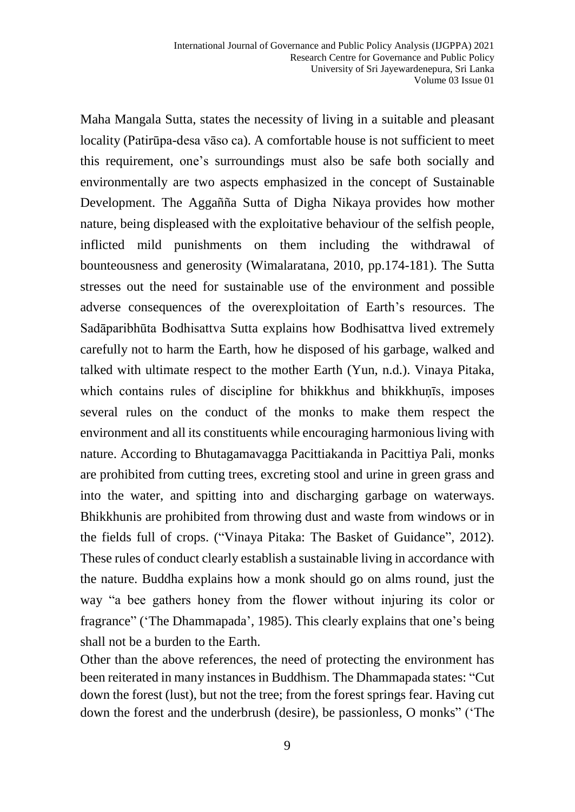Maha Mangala Sutta, states the necessity of living in a suitable and pleasant locality (Patirūpa-desa vāso ca). A comfortable house is not sufficient to meet this requirement, one's surroundings must also be safe both socially and environmentally are two aspects emphasized in the concept of Sustainable Development. The Aggañña Sutta of Digha Nikaya provides how mother nature, being displeased with the exploitative behaviour of the selfish people, inflicted mild punishments on them including the withdrawal of bounteousness and generosity (Wimalaratana, 2010, pp.174-181). The Sutta stresses out the need for sustainable use of the environment and possible adverse consequences of the overexploitation of Earth's resources. The Sadāparibhūta Bodhisattva Sutta explains how Bodhisattva lived extremely carefully not to harm the Earth, how he disposed of his garbage, walked and talked with ultimate respect to the mother Earth (Yun, n.d.). Vinaya Pitaka, which contains rules of discipline for bhikkhus and bhikkhuṇīs, imposes several rules on the conduct of the monks to make them respect the environment and all its constituents while encouraging harmonious living with nature. According to Bhutagamavagga Pacittiakanda in Pacittiya Pali, monks are prohibited from cutting trees, excreting stool and urine in green grass and into the water, and spitting into and discharging garbage on waterways. Bhikkhunis are prohibited from throwing dust and waste from windows or in the fields full of crops. ("Vinaya Pitaka: The Basket of Guidance", 2012). These rules of conduct clearly establish a sustainable living in accordance with the nature. Buddha explains how a monk should go on alms round, just the way "a bee gathers honey from the flower without injuring its color or fragrance" ('The Dhammapada', 1985). This clearly explains that one's being shall not be a burden to the Earth.

Other than the above references, the need of protecting the environment has been reiterated in many instances in Buddhism. The Dhammapada states: "Cut down the forest (lust), but not the tree; from the forest springs fear. Having cut down the forest and the underbrush (desire), be passionless, O monks" ('The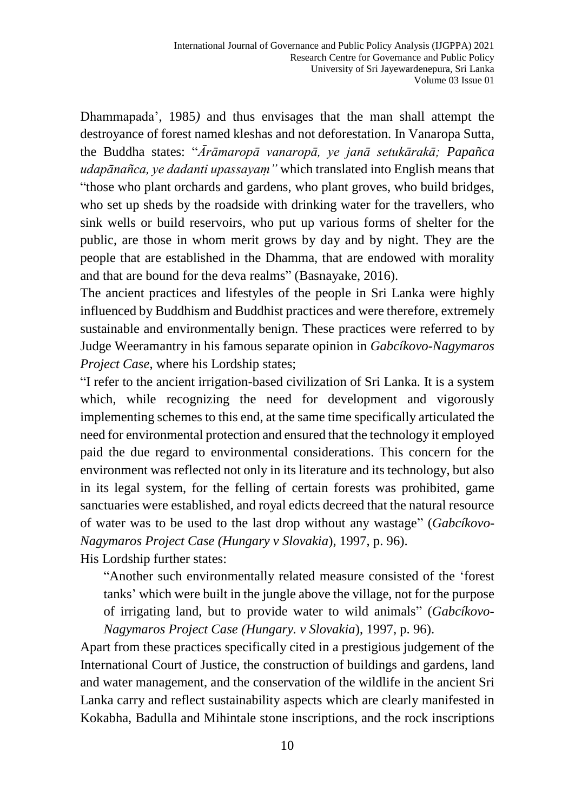Dhammapada', 1985*)* and thus envisages that the man shall attempt the destroyance of forest named kleshas and not deforestation. In Vanaropa Sutta, the Buddha states: "*Ārāmaropā vanaropā, ye janā setukārakā; Papañca udapānañca, ye dadanti upassayaṃ"* which translated into English means that "those who plant orchards and gardens, who plant groves, who build bridges, who set up sheds by the roadside with drinking water for the travellers, who sink wells or build reservoirs, who put up various forms of shelter for the public, are those in whom merit grows by day and by night. They are the people that are established in the Dhamma, that are endowed with morality and that are bound for the deva realms" (Basnayake, 2016).

The ancient practices and lifestyles of the people in Sri Lanka were highly influenced by Buddhism and Buddhist practices and were therefore, extremely sustainable and environmentally benign. These practices were referred to by Judge Weeramantry in his famous separate opinion in *Gabcíkovo-Nagymaros Project Case*, where his Lordship states;

"I refer to the ancient irrigation-based civilization of Sri Lanka. It is a system which, while recognizing the need for development and vigorously implementing schemes to this end, at the same time specifically articulated the need for environmental protection and ensured that the technology it employed paid the due regard to environmental considerations. This concern for the environment was reflected not only in its literature and its technology, but also in its legal system, for the felling of certain forests was prohibited, game sanctuaries were established, and royal edicts decreed that the natural resource of water was to be used to the last drop without any wastage" (*Gabcíkovo-Nagymaros Project Case (Hungary v Slovakia*)*,* 1997, p. 96).

His Lordship further states:

"Another such environmentally related measure consisted of the 'forest tanks' which were built in the jungle above the village, not for the purpose of irrigating land, but to provide water to wild animals" (*Gabcíkovo-Nagymaros Project Case (Hungary. v Slovakia*), 1997, p. 96).

Apart from these practices specifically cited in a prestigious judgement of the International Court of Justice, the construction of buildings and gardens, land and water management, and the conservation of the wildlife in the ancient Sri Lanka carry and reflect sustainability aspects which are clearly manifested in Kokabha, Badulla and Mihintale stone inscriptions, and the rock inscriptions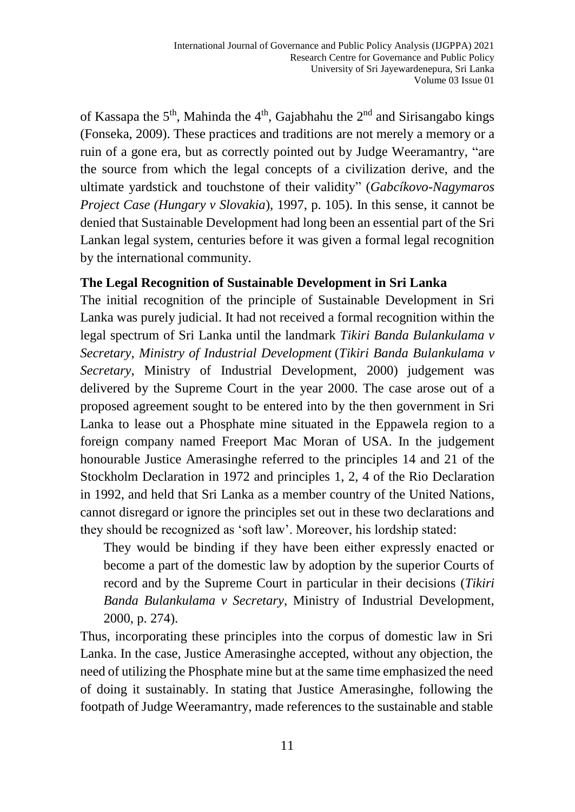of Kassapa the 5<sup>th</sup>, Mahinda the 4<sup>th</sup>, Gajabhahu the 2<sup>nd</sup> and Sirisangabo kings (Fonseka, 2009). These practices and traditions are not merely a memory or a ruin of a gone era, but as correctly pointed out by Judge Weeramantry, "are the source from which the legal concepts of a civilization derive, and the ultimate yardstick and touchstone of their validity" (*Gabcíkovo-Nagymaros Project Case (Hungary v Slovakia)*, 1997, p. 105). In this sense, it cannot be denied that Sustainable Development had long been an essential part of the Sri Lankan legal system, centuries before it was given a formal legal recognition by the international community.

#### **The Legal Recognition of Sustainable Development in Sri Lanka**

The initial recognition of the principle of Sustainable Development in Sri Lanka was purely judicial. It had not received a formal recognition within the legal spectrum of Sri Lanka until the landmark *Tikiri Banda Bulankulama v Secretary, Ministry of Industrial Development* (*Tikiri Banda Bulankulama v Secretary*, Ministry of Industrial Development, 2000) judgement was delivered by the Supreme Court in the year 2000. The case arose out of a proposed agreement sought to be entered into by the then government in Sri Lanka to lease out a Phosphate mine situated in the Eppawela region to a foreign company named Freeport Mac Moran of USA. In the judgement honourable Justice Amerasinghe referred to the principles 14 and 21 of the Stockholm Declaration in 1972 and principles 1, 2, 4 of the Rio Declaration in 1992, and held that Sri Lanka as a member country of the United Nations, cannot disregard or ignore the principles set out in these two declarations and they should be recognized as 'soft law'. Moreover, his lordship stated:

They would be binding if they have been either expressly enacted or become a part of the domestic law by adoption by the superior Courts of record and by the Supreme Court in particular in their decisions (*Tikiri Banda Bulankulama v Secretary*, Ministry of Industrial Development, 2000, p. 274).

Thus, incorporating these principles into the corpus of domestic law in Sri Lanka. In the case, Justice Amerasinghe accepted, without any objection, the need of utilizing the Phosphate mine but at the same time emphasized the need of doing it sustainably. In stating that Justice Amerasinghe, following the footpath of Judge Weeramantry, made references to the sustainable and stable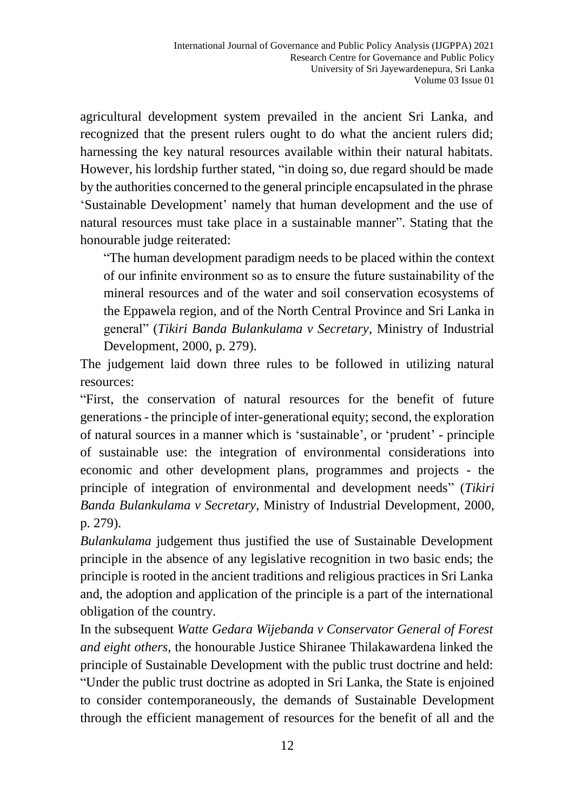agricultural development system prevailed in the ancient Sri Lanka, and recognized that the present rulers ought to do what the ancient rulers did; harnessing the key natural resources available within their natural habitats. However, his lordship further stated, "in doing so, due regard should be made by the authorities concerned to the general principle encapsulated in the phrase 'Sustainable Development' namely that human development and the use of natural resources must take place in a sustainable manner". Stating that the honourable judge reiterated:

"The human development paradigm needs to be placed within the context of our infinite environment so as to ensure the future sustainability of the mineral resources and of the water and soil conservation ecosystems of the Eppawela region, and of the North Central Province and Sri Lanka in general" (*Tikiri Banda Bulankulama v Secretary*, Ministry of Industrial Development, 2000, p. 279).

The judgement laid down three rules to be followed in utilizing natural resources:

"First, the conservation of natural resources for the benefit of future generations - the principle of inter-generational equity; second, the exploration of natural sources in a manner which is 'sustainable', or 'prudent' - principle of sustainable use: the integration of environmental considerations into economic and other development plans, programmes and projects - the principle of integration of environmental and development needs" (*Tikiri Banda Bulankulama v Secretary*, Ministry of Industrial Development, 2000, p. 279).

*Bulankulama* judgement thus justified the use of Sustainable Development principle in the absence of any legislative recognition in two basic ends; the principle is rooted in the ancient traditions and religious practices in Sri Lanka and, the adoption and application of the principle is a part of the international obligation of the country.

In the subsequent *Watte Gedara Wijebanda v Conservator General of Forest and eight others,* the honourable Justice Shiranee Thilakawardena linked the principle of Sustainable Development with the public trust doctrine and held: "Under the public trust doctrine as adopted in Sri Lanka, the State is enjoined to consider contemporaneously, the demands of Sustainable Development through the efficient management of resources for the benefit of all and the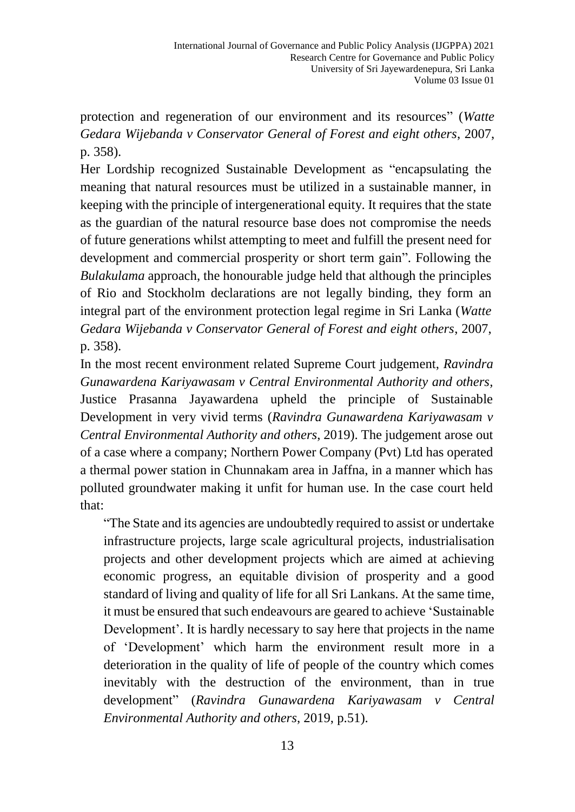protection and regeneration of our environment and its resources" (*Watte Gedara Wijebanda v Conservator General of Forest and eight others*, 2007, p. 358).

Her Lordship recognized Sustainable Development as "encapsulating the meaning that natural resources must be utilized in a sustainable manner, in keeping with the principle of intergenerational equity. It requires that the state as the guardian of the natural resource base does not compromise the needs of future generations whilst attempting to meet and fulfill the present need for development and commercial prosperity or short term gain". Following the *Bulakulama* approach, the honourable judge held that although the principles of Rio and Stockholm declarations are not legally binding, they form an integral part of the environment protection legal regime in Sri Lanka (*Watte Gedara Wijebanda v Conservator General of Forest and eight others*, 2007, p. 358).

In the most recent environment related Supreme Court judgement, *Ravindra Gunawardena Kariyawasam v Central Environmental Authority and others,*  Justice Prasanna Jayawardena upheld the principle of Sustainable Development in very vivid terms (*Ravindra Gunawardena Kariyawasam v Central Environmental Authority and others*, 2019). The judgement arose out of a case where a company; Northern Power Company (Pvt) Ltd has operated a thermal power station in Chunnakam area in Jaffna, in a manner which has polluted groundwater making it unfit for human use. In the case court held that:

"The State and its agencies are undoubtedly required to assist or undertake infrastructure projects, large scale agricultural projects, industrialisation projects and other development projects which are aimed at achieving economic progress, an equitable division of prosperity and a good standard of living and quality of life for all Sri Lankans. At the same time, it must be ensured that such endeavours are geared to achieve 'Sustainable Development'. It is hardly necessary to say here that projects in the name of 'Development' which harm the environment result more in a deterioration in the quality of life of people of the country which comes inevitably with the destruction of the environment, than in true development" (*Ravindra Gunawardena Kariyawasam v Central Environmental Authority and others*, 2019, p.51).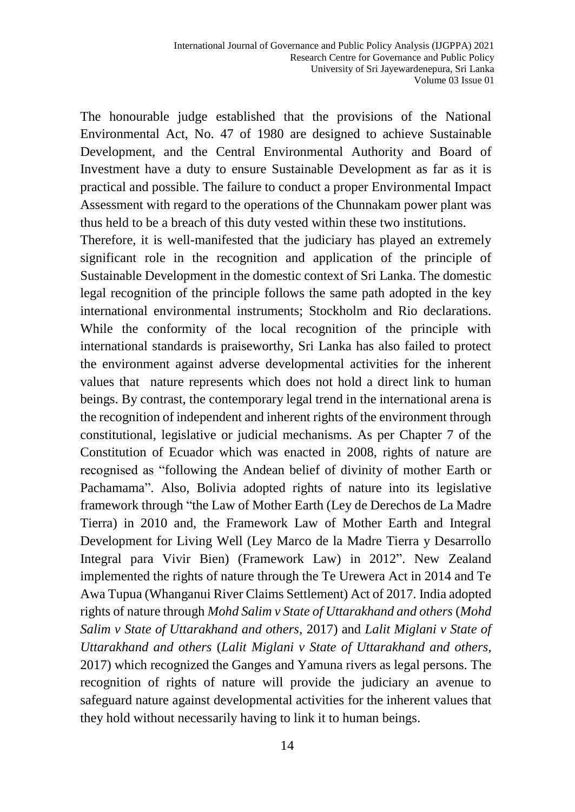The honourable judge established that the provisions of the National Environmental Act, No. 47 of 1980 are designed to achieve Sustainable Development, and the Central Environmental Authority and Board of Investment have a duty to ensure Sustainable Development as far as it is practical and possible. The failure to conduct a proper Environmental Impact Assessment with regard to the operations of the Chunnakam power plant was thus held to be a breach of this duty vested within these two institutions.

Therefore, it is well-manifested that the judiciary has played an extremely significant role in the recognition and application of the principle of Sustainable Development in the domestic context of Sri Lanka. The domestic legal recognition of the principle follows the same path adopted in the key international environmental instruments; Stockholm and Rio declarations. While the conformity of the local recognition of the principle with international standards is praiseworthy, Sri Lanka has also failed to protect the environment against adverse developmental activities for the inherent values that nature represents which does not hold a direct link to human beings. By contrast, the contemporary legal trend in the international arena is the recognition of independent and inherent rights of the environment through constitutional, legislative or judicial mechanisms. As per Chapter 7 of the Constitution of Ecuador which was enacted in 2008, rights of nature are recognised as "following the Andean belief of divinity of mother Earth or Pachamama". Also, Bolivia adopted rights of nature into its legislative framework through "the Law of Mother Earth (Ley de Derechos de La Madre Tierra) in 2010 and, the Framework Law of Mother Earth and Integral Development for Living Well (Ley Marco de la Madre Tierra y Desarrollo Integral para Vivir Bien) (Framework Law) in 2012". New Zealand implemented the rights of nature through the Te Urewera Act in 2014 and Te Awa Tupua (Whanganui River Claims Settlement) Act of 2017. India adopted rights of nature through *Mohd Salim v State of Uttarakhand and others* (*Mohd Salim v State of Uttarakhand and others,* 2017) and *Lalit Miglani v State of Uttarakhand and others* (*Lalit Miglani v State of Uttarakhand and others*, 2017) which recognized the Ganges and Yamuna rivers as legal persons. The recognition of rights of nature will provide the judiciary an avenue to safeguard nature against developmental activities for the inherent values that they hold without necessarily having to link it to human beings.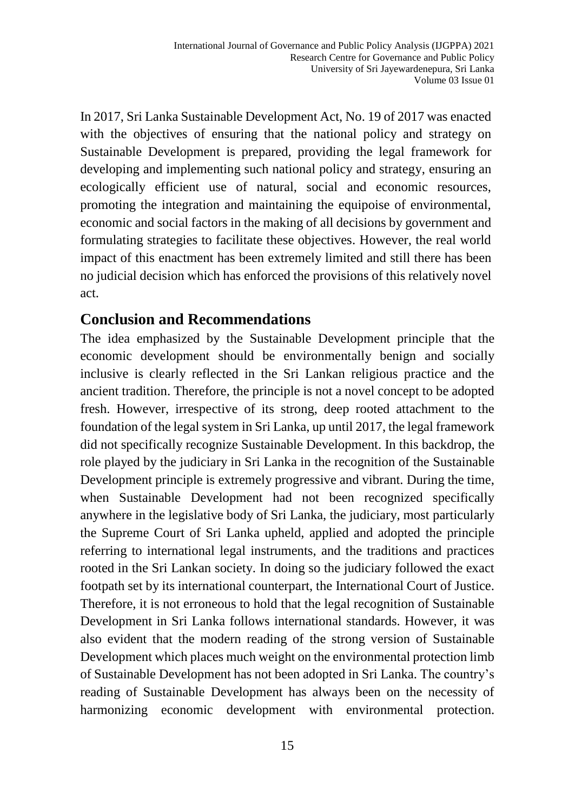In 2017, Sri Lanka Sustainable Development Act, No. 19 of 2017 was enacted with the objectives of ensuring that the national policy and strategy on Sustainable Development is prepared, providing the legal framework for developing and implementing such national policy and strategy, ensuring an ecologically efficient use of natural, social and economic resources, promoting the integration and maintaining the equipoise of environmental, economic and social factors in the making of all decisions by government and formulating strategies to facilitate these objectives. However, the real world impact of this enactment has been extremely limited and still there has been no judicial decision which has enforced the provisions of this relatively novel act.

#### **Conclusion and Recommendations**

The idea emphasized by the Sustainable Development principle that the economic development should be environmentally benign and socially inclusive is clearly reflected in the Sri Lankan religious practice and the ancient tradition. Therefore, the principle is not a novel concept to be adopted fresh. However, irrespective of its strong, deep rooted attachment to the foundation of the legal system in Sri Lanka, up until 2017, the legal framework did not specifically recognize Sustainable Development. In this backdrop, the role played by the judiciary in Sri Lanka in the recognition of the Sustainable Development principle is extremely progressive and vibrant. During the time, when Sustainable Development had not been recognized specifically anywhere in the legislative body of Sri Lanka, the judiciary, most particularly the Supreme Court of Sri Lanka upheld, applied and adopted the principle referring to international legal instruments, and the traditions and practices rooted in the Sri Lankan society. In doing so the judiciary followed the exact footpath set by its international counterpart, the International Court of Justice. Therefore, it is not erroneous to hold that the legal recognition of Sustainable Development in Sri Lanka follows international standards. However, it was also evident that the modern reading of the strong version of Sustainable Development which places much weight on the environmental protection limb of Sustainable Development has not been adopted in Sri Lanka. The country's reading of Sustainable Development has always been on the necessity of harmonizing economic development with environmental protection.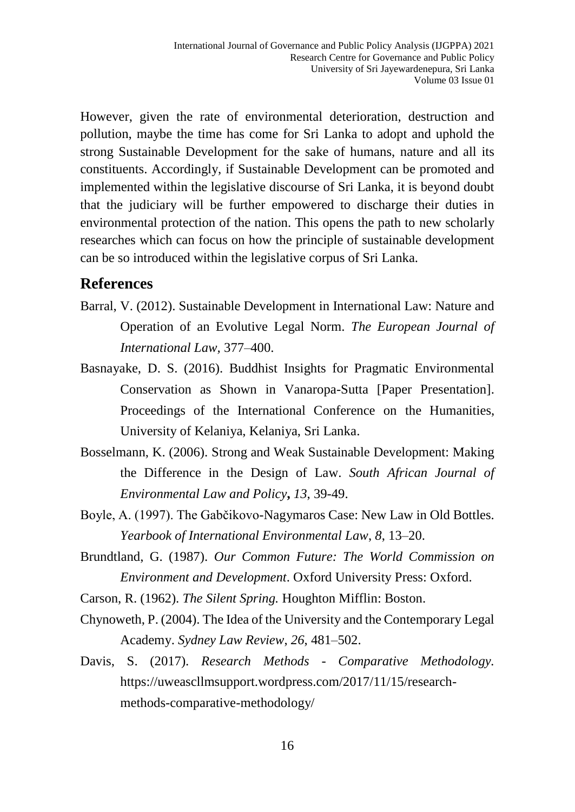However, given the rate of environmental deterioration, destruction and pollution, maybe the time has come for Sri Lanka to adopt and uphold the strong Sustainable Development for the sake of humans, nature and all its constituents. Accordingly, if Sustainable Development can be promoted and implemented within the legislative discourse of Sri Lanka, it is beyond doubt that the judiciary will be further empowered to discharge their duties in environmental protection of the nation. This opens the path to new scholarly researches which can focus on how the principle of sustainable development can be so introduced within the legislative corpus of Sri Lanka.

#### **References**

- Barral, V. (2012). Sustainable Development in International Law: Nature and Operation of an Evolutive Legal Norm. *The European Journal of International Law,* 377–400.
- Basnayake, D. S. (2016). Buddhist Insights for Pragmatic Environmental Conservation as Shown in Vanaropa-Sutta [Paper Presentation]. Proceedings of the International Conference on the Humanities, University of Kelaniya, Kelaniya, Sri Lanka.
- Bosselmann, K. (2006). Strong and Weak Sustainable Development: Making the Difference in the Design of Law. *South African Journal of Environmental Law and Policy***,** *13*, 39-49.
- Boyle, A. (1997). The Gabčikovo-Nagymaros Case: New Law in Old Bottles. *Yearbook of International Environmental Law*, *8*, 13–20.
- Brundtland, G. (1987). *Our Common Future: The World Commission on Environment and Development*. Oxford University Press: Oxford.
- Carson, R. (1962). *The Silent Spring.* Houghton Mifflin: Boston.
- Chynoweth, P. (2004). The Idea of the University and the Contemporary Legal Academy. *Sydney Law Review*, *26*, 481–502.
- Davis, S. (2017). *Research Methods - Comparative Methodology.* [https://uweascllmsupport.wordpress.com/2017/11/15/research](https://uweascllmsupport.wordpress.com/2017/11/15/research-methods-comparative-methodology/)[methods-comparative-methodology/](https://uweascllmsupport.wordpress.com/2017/11/15/research-methods-comparative-methodology/)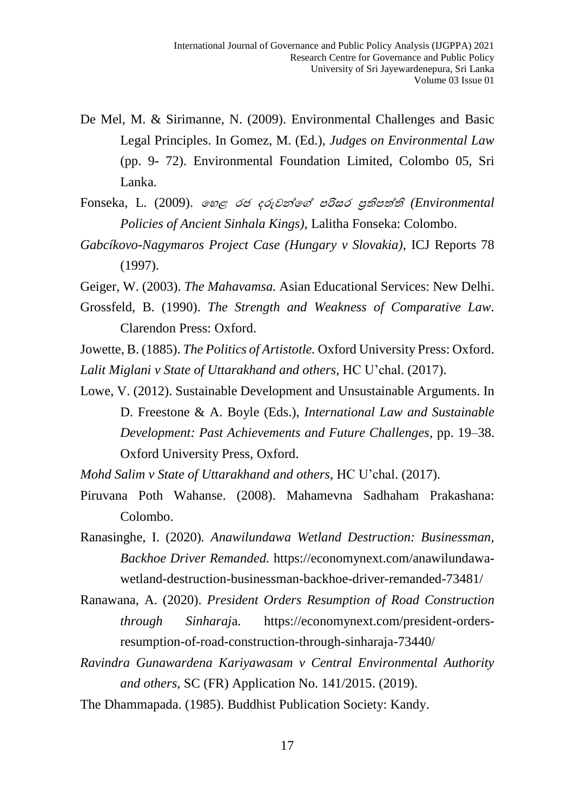- De Mel, M. & Sirimanne, N. (2009). Environmental Challenges and Basic Legal Principles. In Gomez, M. (Ed.), *Judges on Environmental Law*  (pp. 9- 72). Environmental Foundation Limited, Colombo 05, Sri Lanka.
- Fonseka, L. (2009). හෙළ රජ දරුවන්හේ පරිසර ප්රතිපත්තති *(Environmental Policies of Ancient Sinhala Kings),* Lalitha Fonseka: Colombo.
- *Gabcíkovo-Nagymaros Project Case (Hungary v Slovakia)*, ICJ Reports 78 (1997).

Geiger, W. (2003). *The Mahavamsa.* Asian Educational Services: New Delhi.

Grossfeld, B. (1990). *The Strength and Weakness of Comparative Law.* Clarendon Press: Oxford.

Jowette, B. (1885). *The Politics of Artistotle.* Oxford University Press: Oxford. *Lalit Miglani v State of Uttarakhand and others*, HC U'chal. (2017).

Lowe, V. (2012). Sustainable Development and Unsustainable Arguments. In D. Freestone & A. Boyle (Eds.), *International Law and Sustainable Development: Past Achievements and Future Challenges,* pp. 19–38. Oxford University Press, Oxford.

*Mohd Salim v State of Uttarakhand and others*, HC U'chal. (2017).

- Piruvana Poth Wahanse. (2008). Mahamevna Sadhaham Prakashana: Colombo.
- Ranasinghe, I. (2020)*. Anawilundawa Wetland Destruction: Businessman, Backhoe Driver Remanded.* [https://economynext.com/anawilundawa](https://economynext.com/anawilundawa-wetland-destruction-businessman-backhoe-driver-remanded-73481/)[wetland-destruction-businessman-backhoe-driver-remanded-73481/](https://economynext.com/anawilundawa-wetland-destruction-businessman-backhoe-driver-remanded-73481/)
- Ranawana, A. (2020). *President Orders Resumption of Road Construction through Sinharaj*a. [https://economynext.com/president-orders](https://economynext.com/president-orders-resumption-of-road-construction-through-sinharaja-73440/)[resumption-of-road-construction-through-sinharaja-73440/](https://economynext.com/president-orders-resumption-of-road-construction-through-sinharaja-73440/)
- *Ravindra Gunawardena Kariyawasam v Central Environmental Authority and others*, SC (FR) Application No. 141/2015. (2019).
- The Dhammapada. (1985). Buddhist Publication Society: Kandy.